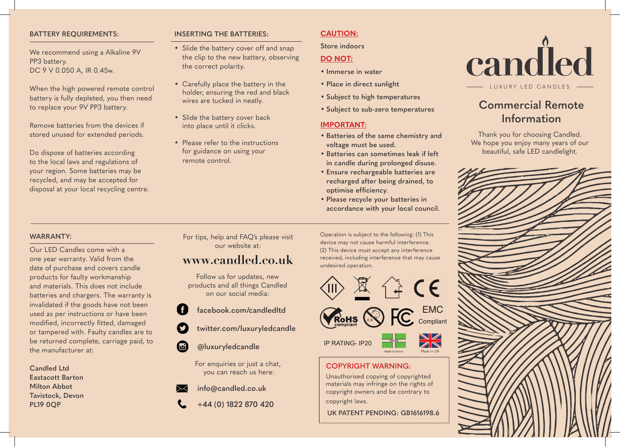### **BATTERY REQUIREMENTS:**

We recommend using a Alkaline 9V PP3 battery. DC 9 V 0.050 A, IR 0.45w.

When the high powered remote control battery is fully depleted, you then need to replace your 9V PP3 battery.

Remove batteries from the devices if stored unused for extended periods.

Do dispose of batteries according to the local laws and regulations of your region. Some batteries may be recycled, and may be accepted for disposal at your local recycling centre.

## **INSERTING THE BATTERIES:**

- Slide the battery cover off and snap the clip to the new battery, observing the correct polarity.
- Carefully place the battery in the holder, ensuring the red and black wires are tucked in neatly.
- Slide the battery cover back into place until it clicks.
- Please refer to the instructions for guidance on using your remote control.

## **CAUTION:**

**Store indoors**

## **DO NOT:**

- **Immerse in water**
- **Place in direct sunlight**
- **Subject to high temperatures**
- **Subject to sub-zero temperatures**

## **IMPORTANT:**

- **Batteries of the same chemistry and voltage must be used.**
- **Batteries can sometimes leak if left in candle during prolonged disuse.**
- **Ensure rechargeable batteries are recharged after being drained, to**  optimise efficiency.
- **Please recycle your batteries in accordance with your local council.**



## **Commercial Remote Information**

Thank you for choosing Candled. We hope you enjoy many years of our beautiful, safe LED candlelight.



## **WARRANTY:**

Our LED Candles come with a one year warranty. Valid from the date of purchase and covers candle products for faulty workmanship and materials. This does not include batteries and chargers. The warranty is invalidated if the goods have not been used as per instructions or have been modified, incorrectly fitted, damaged or tampered with. Faulty candles are to be returned complete, carriage paid, to the manufacturer at:

**Candled Ltd Eastacott Barton Milton Abbot Tavistock, Devon PL19 0QP**

For tips, help and FAQ's please visit our website at:

# **www.candled.co.uk**

Follow us for updates, new products and all things Candled on our social media:

- **facebook.com/candledltd**
- **twitter.com/luxuryledcandle**
- **@luxuryledcandle**

For enquiries or just a chat, you can reach us here:

- **info@candled.co.uk**
- **+44 (0) 1822 870 420**

Operation is subject to the following: (1) This device may not cause harmful interference. (2) This device must accept any interference received, including interference that may cause undesired operation.



**COPYRIGHT WARNING:**

copyright laws.

Unauthorised copying of copyrighted materials may infringe on the rights of copyright owners and be contrary to

Made in UK

**UK PATENT PENDING: GB1616198.6**